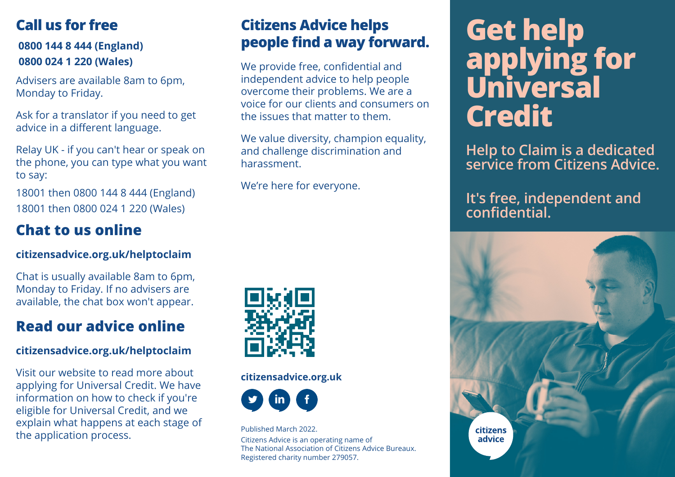## **Call us for free**

### **0800 144 8 444 (England) 0800 024 1 220 (Wales)**

Advisers are available 8am to 6pm, Monday to Friday.

Ask for a translator if you need to get advice in a different language.

Relay UK - if you can't hear or speak on the phone, you can type what you want to say:

18001 then 0800 144 8 444 (England) 18001 then 0800 024 1 220 (Wales)

## **Chat to us online**

### **citizensadvice.org.uk/helptoclaim**

Chat is usually available 8am to 6pm, Monday to Friday. If no advisers are available, the chat box won't appear.

## **Read our advice online**

### **citizensadvice.org.uk/helptoclaim**

Visit our website to read more about applying for Universal Credit. We have information on how to check if you're eligible for Universal Credit, and we explain what happens at each stage of the application process.

## **Citizens Advice helps people find a way forward.**

We provide free, confidential and independent advice to help people overcome their problems. We are a voice for our clients and consumers on the issues that matter to them.

We value diversity, champion equality, and challenge discrimination and harassment.

We're here for everyone.



#### **citizensadvice.org.uk**



Published March 2022. Citizens Advice is an operating name of The National Association of Citizens Advice Bureaux. Registered charity number 279057.

# **Get help applying for Universal Credit**

**Help to Claim is a dedicated service from Citizens Advice.**

**It's free, independent and confidential.**